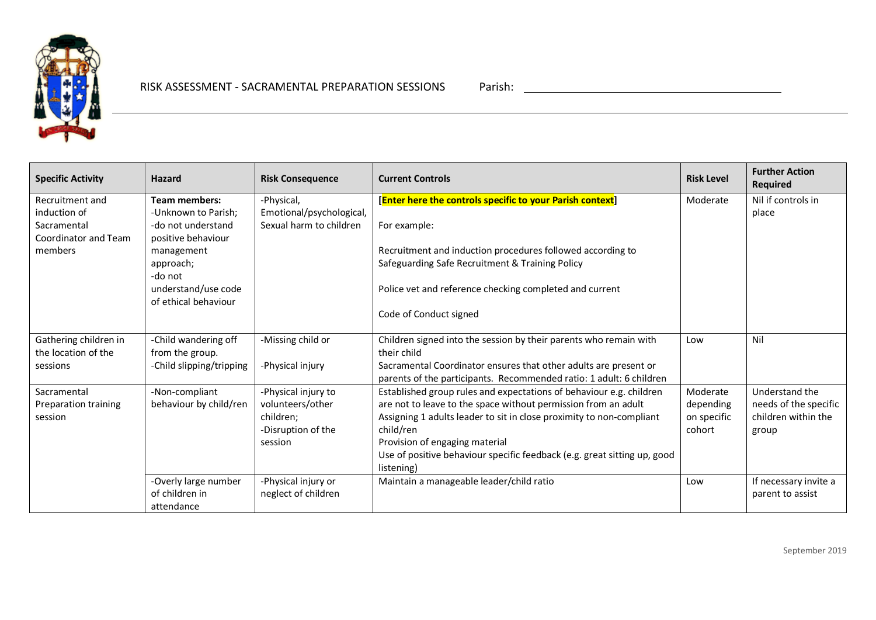

| <b>Specific Activity</b>        | Hazard                   | <b>Risk Consequence</b>  | <b>Current Controls</b>                                                  | <b>Risk Level</b> | <b>Further Action</b><br>Required |
|---------------------------------|--------------------------|--------------------------|--------------------------------------------------------------------------|-------------------|-----------------------------------|
| Recruitment and                 | <b>Team members:</b>     | -Physical,               | [Enter here the controls specific to your Parish context]                | Moderate          | Nil if controls in                |
| induction of                    | -Unknown to Parish;      | Emotional/psychological, |                                                                          |                   | place                             |
| Sacramental                     | -do not understand       | Sexual harm to children  | For example:                                                             |                   |                                   |
| Coordinator and Team<br>members | positive behaviour       |                          |                                                                          |                   |                                   |
|                                 | management               |                          | Recruitment and induction procedures followed according to               |                   |                                   |
|                                 | approach;<br>-do not     |                          | Safeguarding Safe Recruitment & Training Policy                          |                   |                                   |
|                                 | understand/use code      |                          | Police vet and reference checking completed and current                  |                   |                                   |
|                                 | of ethical behaviour     |                          |                                                                          |                   |                                   |
|                                 |                          |                          | Code of Conduct signed                                                   |                   |                                   |
| Gathering children in           | -Child wandering off     | -Missing child or        | Children signed into the session by their parents who remain with        | Low               | Nil                               |
| the location of the             | from the group.          |                          | their child                                                              |                   |                                   |
| sessions                        | -Child slipping/tripping | -Physical injury         | Sacramental Coordinator ensures that other adults are present or         |                   |                                   |
|                                 |                          |                          | parents of the participants. Recommended ratio: 1 adult: 6 children      |                   |                                   |
| Sacramental                     | -Non-compliant           | -Physical injury to      | Established group rules and expectations of behaviour e.g. children      | Moderate          | Understand the                    |
| Preparation training            | behaviour by child/ren   | volunteers/other         | are not to leave to the space without permission from an adult           | depending         | needs of the specific             |
| session                         |                          | children;                | Assigning 1 adults leader to sit in close proximity to non-compliant     | on specific       | children within the               |
|                                 |                          | -Disruption of the       | child/ren                                                                | cohort            | group                             |
|                                 |                          | session                  | Provision of engaging material                                           |                   |                                   |
|                                 |                          |                          | Use of positive behaviour specific feedback (e.g. great sitting up, good |                   |                                   |
|                                 |                          |                          | listening)                                                               |                   |                                   |
|                                 | -Overly large number     | -Physical injury or      | Maintain a manageable leader/child ratio                                 | Low               | If necessary invite a             |
|                                 | of children in           | neglect of children      |                                                                          |                   | parent to assist                  |
|                                 | attendance               |                          |                                                                          |                   |                                   |